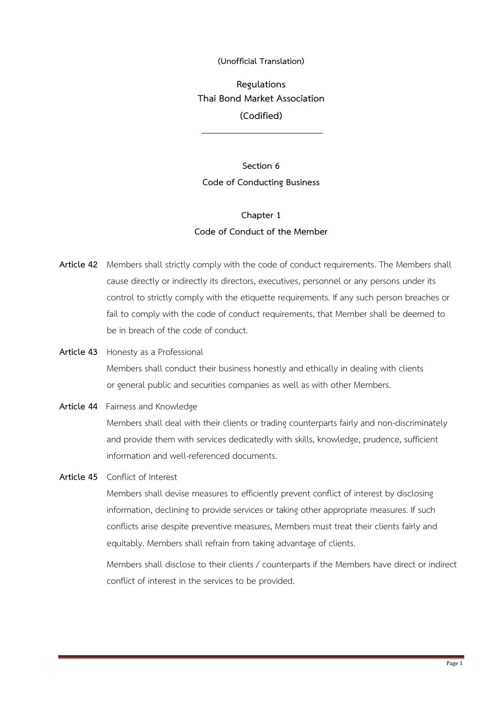## **(Unofficial Translation)**

**Regulations Thai Bond Market Association (Codified)**

**Section 6 Code of Conducting Business**

# **Chapter 1 Code of Conduct of the Member**

- **Article 42** Members shall strictly comply with the code of conduct requirements. The Members shall cause directly or indirectly its directors, executives, personnel or any persons under its control to strictly comply with the etiquette requirements. If any such person breaches or fail to comply with the code of conduct requirements, that Member shall be deemed to be in breach of the code of conduct.
- **Article 43** Honesty as a Professional Members shall conduct their business honestly and ethically in dealing with clients or general public and securities companies as well as with other Members.
- **Article 44** Fairness and Knowledge Members shall deal with their clients or trading counterparts fairly and non-discriminately and provide them with services dedicatedly with skills, knowledge, prudence, sufficient information and well-referenced documents.
- **Article 45** Conflict of Interest

Members shall devise measures to efficiently prevent conflict of interest by disclosing information, declining to provide services or taking other appropriate measures. If such conflicts arise despite preventive measures, Members must treat their clients fairly and equitably. Members shall refrain from taking advantage of clients.

Members shall disclose to their clients / counterparts if the Members have direct or indirect conflict of interest in the services to be provided.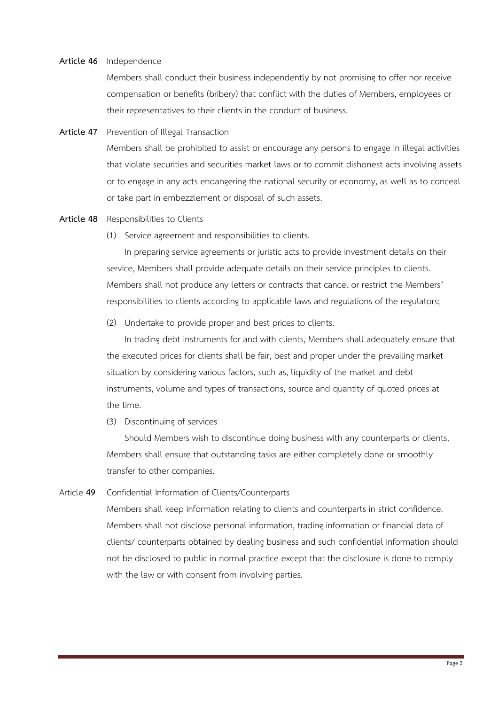#### **Article 46** Independence

Members shall conduct their business independently by not promising to offer nor receive compensation or benefits (bribery) that conflict with the duties of Members, employees or their representatives to their clients in the conduct of business.

**Article 47** Prevention of Illegal Transaction

Members shall be prohibited to assist or encourage any persons to engage in illegal activities that violate securities and securities market laws or to commit dishonest acts involving assets or to engage in any acts endangering the national security or economy, as well as to conceal or take part in embezzlement or disposal of such assets.

#### **Article 48** Responsibilities to Clients

(1) Service agreement and responsibilities to clients.

In preparing service agreements or juristic acts to provide investment details on their service, Members shall provide adequate details on their service principles to clients. Members shall not produce any letters or contracts that cancel or restrict the Members' responsibilities to clients according to applicable laws and regulations of the regulators;

(2) Undertake to provide proper and best prices to clients.

In trading debt instruments for and with clients, Members shall adequately ensure that the executed prices for clients shall be fair, best and proper under the prevailing market situation by considering various factors, such as, liquidity of the market and debt instruments, volume and types of transactions, source and quantity of quoted prices at the time.

(3) Discontinuing of services

Should Members wish to discontinue doing business with any counterparts or clients, Members shall ensure that outstanding tasks are either completely done or smoothly transfer to other companies.

Article **49** Confidential Information of Clients/Counterparts

Members shall keep information relating to clients and counterparts in strict confidence. Members shall not disclose personal information, trading information or financial data of clients/ counterparts obtained by dealing business and such confidential information should not be disclosed to public in normal practice except that the disclosure is done to comply with the law or with consent from involving parties.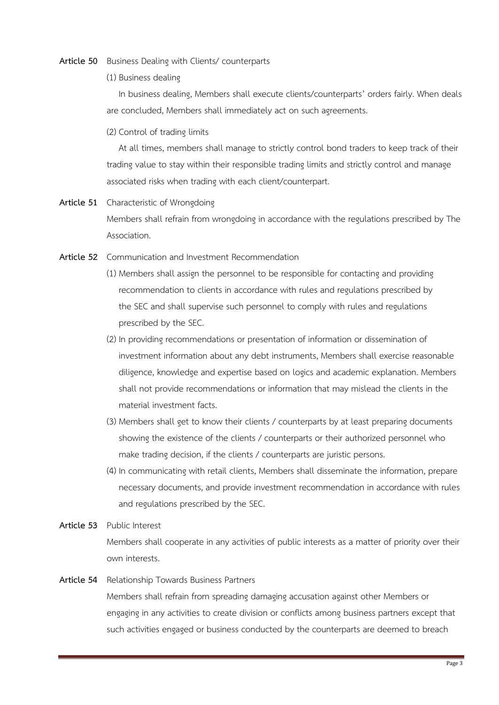#### **Article 50** Business Dealing with Clients/ counterparts

(1) Business dealing

In business dealing, Members shall execute clients/counterparts' orders fairly. When deals are concluded, Members shall immediately act on such agreements.

(2) Control of trading limits

At all times, members shall manage to strictly control bond traders to keep track of their trading value to stay within their responsible trading limits and strictly control and manage associated risks when trading with each client/counterpart.

- **Article 51** Characteristic of Wrongdoing Members shall refrain from wrongdoing in accordance with the regulations prescribed by The Association.
- **Article 52** Communication and Investment Recommendation
	- (1) Members shall assign the personnel to be responsible for contacting and providing recommendation to clients in accordance with rules and regulations prescribed by the SEC and shall supervise such personnel to comply with rules and regulations prescribed by the SEC.
	- (2) In providing recommendations or presentation of information or dissemination of investment information about any debt instruments, Members shall exercise reasonable diligence, knowledge and expertise based on logics and academic explanation. Members shall not provide recommendations or information that may mislead the clients in the material investment facts.
	- (3) Members shall get to know their clients / counterparts by at least preparing documents showing the existence of the clients / counterparts or their authorized personnel who make trading decision, if the clients / counterparts are juristic persons.
	- (4) In communicating with retail clients, Members shall disseminate the information, prepare necessary documents, and provide investment recommendation in accordance with rules and regulations prescribed by the SEC.
- **Article 53** Public Interest Members shall cooperate in any activities of public interests as a matter of priority over their own interests.
- **Article 54** Relationship Towards Business Partners

Members shall refrain from spreading damaging accusation against other Members or engaging in any activities to create division or conflicts among business partners except that such activities engaged or business conducted by the counterparts are deemed to breach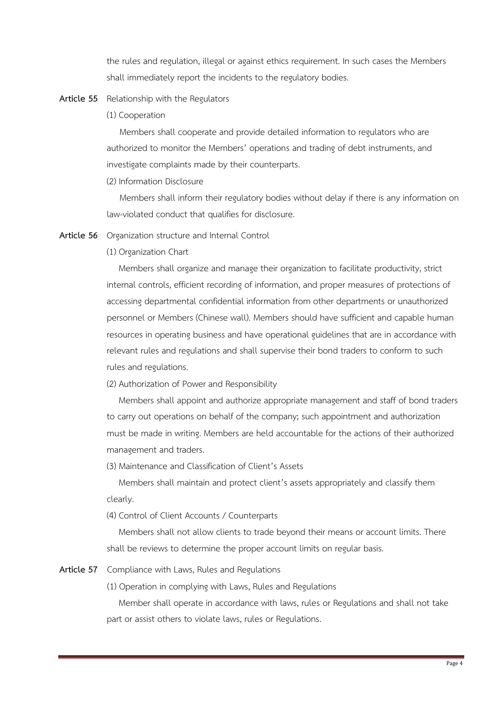the rules and regulation, illegal or against ethics requirement. In such cases the Members shall immediately report the incidents to the regulatory bodies.

## **Article 55** Relationship with the Regulators

(1) Cooperation

Members shall cooperate and provide detailed information to regulators who are authorized to monitor the Members' operations and trading of debt instruments, and investigate complaints made by their counterparts.

(2) Information Disclosure

Members shall inform their regulatory bodies without delay if there is any information on law-violated conduct that qualifies for disclosure.

- **Article 56** Organization structure and Internal Control
	- (1) Organization Chart

Members shall organize and manage their organization to facilitate productivity, strict internal controls, efficient recording of information, and proper measures of protections of accessing departmental confidential information from other departments or unauthorized personnel or Members (Chinese wall). Members should have sufficient and capable human resources in operating business and have operational guidelines that are in accordance with relevant rules and regulations and shall supervise their bond traders to conform to such rules and regulations.

(2) Authorization of Power and Responsibility

Members shall appoint and authorize appropriate management and staff of bond traders to carry out operations on behalf of the company; such appointment and authorization must be made in writing. Members are held accountable for the actions of their authorized management and traders.

(3) Maintenance and Classification of Client's Assets

Members shall maintain and protect client's assets appropriately and classify them clearly.

(4) Control of Client Accounts / Counterparts

Members shall not allow clients to trade beyond their means or account limits. There shall be reviews to determine the proper account limits on regular basis.

**Article 57** Compliance with Laws, Rules and Regulations

(1) Operation in complying with Laws, Rules and Regulations

Member shall operate in accordance with laws, rules or Regulations and shall not take part or assist others to violate laws, rules or Regulations.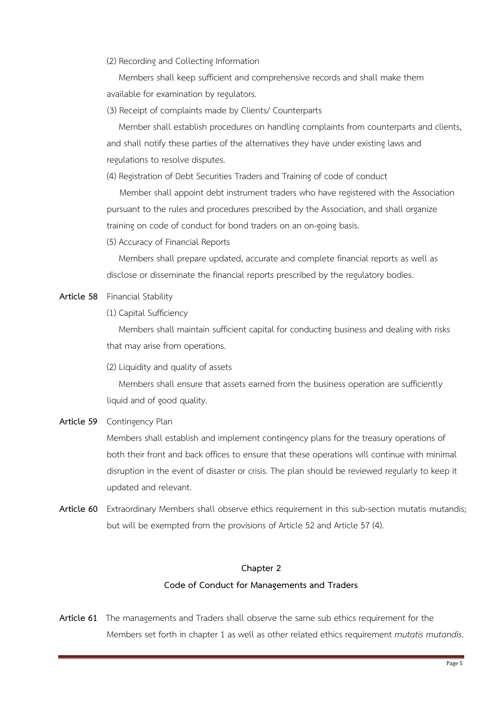## (2) Recording and Collecting Information

Members shall keep sufficient and comprehensive records and shall make them available for examination by regulators.

## (3) Receipt of complaints made by Clients/ Counterparts

Member shall establish procedures on handling complaints from counterparts and clients, and shall notify these parties of the alternatives they have under existing laws and regulations to resolve disputes.

(4) Registration of Debt Securities Traders and Training of code of conduct

Member shall appoint debt instrument traders who have registered with the Association pursuant to the rules and procedures prescribed by the Association, and shall organize training on code of conduct for bond traders on an on-going basis.

(5) Accuracy of Financial Reports

Members shall prepare updated, accurate and complete financial reports as well as disclose or disseminate the financial reports prescribed by the regulatory bodies.

## **Article 58** Financial Stability

(1) Capital Sufficiency

Members shall maintain sufficient capital for conducting business and dealing with risks that may arise from operations.

(2) Liquidity and quality of assets

Members shall ensure that assets earned from the business operation are sufficiently liquid and of good quality.

# **Article 59** Contingency Plan

Members shall establish and implement contingency plans for the treasury operations of both their front and back offices to ensure that these operations will continue with minimal disruption in the event of disaster or crisis. The plan should be reviewed regularly to keep it updated and relevant.

**Article 60** Extraordinary Members shall observe ethics requirement in this sub-section mutatis mutandis; but will be exempted from the provisions of Article 52 and Article 57 (4).

## **Chapter 2**

# **Code of Conduct for Managements and Traders**

**Article 61** The managements and Traders shall observe the same sub ethics requirement for the Members set forth in chapter 1 as well as other related ethics requirement *mutatis mutandis*.